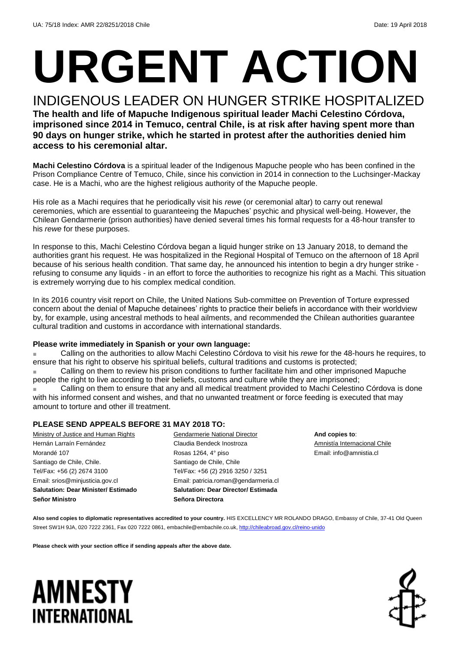# **URGENT ACTION**

INDIGENOUS LEADER ON HUNGER STRIKE HOSPITALIZED **The health and life of Mapuche Indigenous spiritual leader Machi Celestino Córdova, imprisoned since 2014 in Temuco, central Chile, is at risk after having spent more than 90 days on hunger strike, which he started in protest after the authorities denied him access to his ceremonial altar.** 

**Machi Celestino Córdova** is a spiritual leader of the Indigenous Mapuche people who has been confined in the Prison Compliance Centre of Temuco, Chile, since his conviction in 2014 in connection to the Luchsinger-Mackay case. He is a Machi, who are the highest religious authority of the Mapuche people.

His role as a Machi requires that he periodically visit his *rewe* (or ceremonial altar) to carry out renewal ceremonies, which are essential to guaranteeing the Mapuches' psychic and physical well-being. However, the Chilean Gendarmerie (prison authorities) have denied several times his formal requests for a 48-hour transfer to his *rewe* for these purposes.

In response to this, Machi Celestino Córdova began a liquid hunger strike on 13 January 2018, to demand the authorities grant his request. He was hospitalized in the Regional Hospital of Temuco on the afternoon of 18 April because of his serious health condition. That same day, he announced his intention to begin a dry hunger strike refusing to consume any liquids - in an effort to force the authorities to recognize his right as a Machi. This situation is extremely worrying due to his complex medical condition.

In its 2016 country visit report on Chile, the United Nations Sub-committee on Prevention of Torture expressed concern about the denial of Mapuche detainees' rights to practice their beliefs in accordance with their worldview by, for example, using ancestral methods to heal ailments, and recommended the Chilean authorities guarantee cultural tradition and customs in accordance with international standards.

#### **Please write immediately in Spanish or your own language:**

Calling on the authorities to allow Machi Celestino Córdova to visit his *rewe* for the 48-hours he requires, to ensure that his right to observe his spiritual beliefs, cultural traditions and customs is protected;

Calling on them to review his prison conditions to further facilitate him and other imprisoned Mapuche people the right to live according to their beliefs, customs and culture while they are imprisoned;

Calling on them to ensure that any and all medical treatment provided to Machi Celestino Córdova is done with his informed consent and wishes, and that no unwanted treatment or force feeding is executed that may amount to torture and other ill treatment.

#### **PLEASE SEND APPEALS BEFORE 31 MAY 2018 TO:**

| Ministry of Justice and Human Rights       | Gendarmerie National Director              |
|--------------------------------------------|--------------------------------------------|
| Hernán Larraín Fernández                   | Claudia Bendeck Inostroza                  |
| Morandé 107                                | Rosas 1264, 4° piso                        |
| Santiago de Chile, Chile.                  | Santiago de Chile, Chile                   |
| Tel/Fax: +56 (2) 2674 3100                 | Tel/Fax: +56 (2) 2916 3250 / 3251          |
| Email: srios@minjusticia.gov.cl            | Email: patricia.roman@gendarmeria.cl       |
| <b>Salutation: Dear Minister/ Estimado</b> | <b>Salutation: Dear Director/ Estimada</b> |
| <b>Señor Ministro</b>                      | Señora Directora                           |
|                                            |                                            |

**And copies to**: Amnistía Internacional Chile Email: info@amnistia.cl

Also send copies to diplomatic representatives accredited to your country. HIS EXCELLENCY MR ROLANDO DRAGO, Embassy of Chile, 37-41 Old Queen Street SW1H 9JA, 020 7222 2361, Fax 020 7222 0861[, embachile@embachile.co.uk,](mailto:embachile@embachile.co.uk)<http://chileabroad.gov.cl/reino-unido>

**Please check with your section office if sending appeals after the above date.**